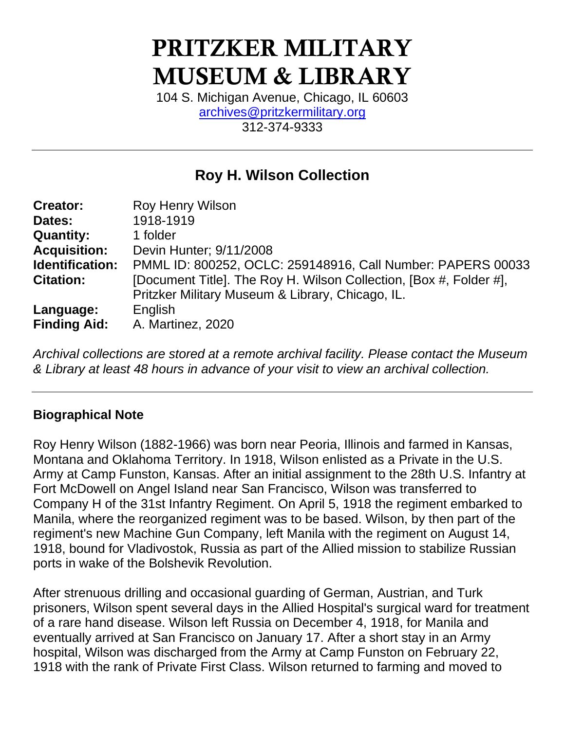# PRITZKER MILITARY MUSEUM & LIBRARY

104 S. Michigan Avenue, Chicago, IL 60603 [archives@pritzkermilitary.org](mailto:archives@pritzkermilitary.org) 312-374-9333

# **Roy H. Wilson Collection**

| PMML ID: 800252, OCLC: 259148916, Call Number: PAPERS 00033        |
|--------------------------------------------------------------------|
| [Document Title]. The Roy H. Wilson Collection, [Box #, Folder #], |
| Pritzker Military Museum & Library, Chicago, IL.                   |
|                                                                    |
|                                                                    |

*Archival collections are stored at a remote archival facility. Please contact the Museum & Library at least 48 hours in advance of your visit to view an archival collection.*

#### **Biographical Note**

Roy Henry Wilson (1882-1966) was born near Peoria, Illinois and farmed in Kansas, Montana and Oklahoma Territory. In 1918, Wilson enlisted as a Private in the U.S. Army at Camp Funston, Kansas. After an initial assignment to the 28th U.S. Infantry at Fort McDowell on Angel Island near San Francisco, Wilson was transferred to Company H of the 31st Infantry Regiment. On April 5, 1918 the regiment embarked to Manila, where the reorganized regiment was to be based. Wilson, by then part of the regiment's new Machine Gun Company, left Manila with the regiment on August 14, 1918, bound for Vladivostok, Russia as part of the Allied mission to stabilize Russian ports in wake of the Bolshevik Revolution.

After strenuous drilling and occasional guarding of German, Austrian, and Turk prisoners, Wilson spent several days in the Allied Hospital's surgical ward for treatment of a rare hand disease. Wilson left Russia on December 4, 1918, for Manila and eventually arrived at San Francisco on January 17. After a short stay in an Army hospital, Wilson was discharged from the Army at Camp Funston on February 22, 1918 with the rank of Private First Class. Wilson returned to farming and moved to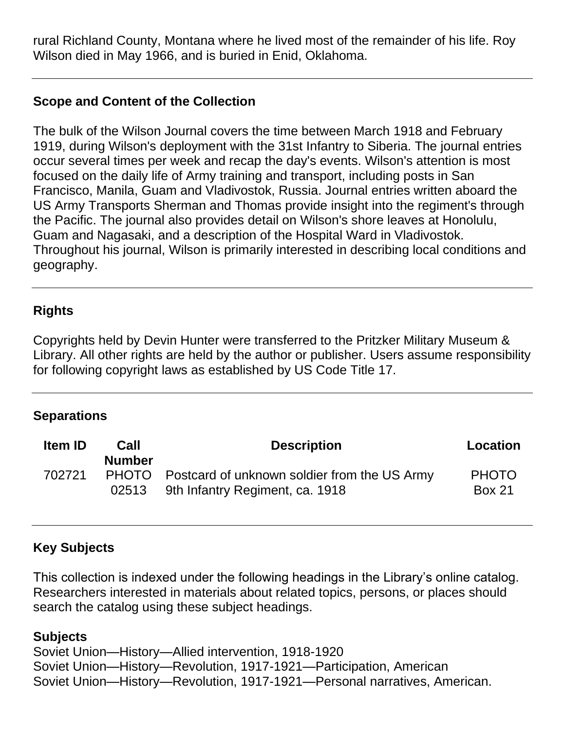rural Richland County, Montana where he lived most of the remainder of his life. Roy Wilson died in May 1966, and is buried in Enid, Oklahoma.

### **Scope and Content of the Collection**

The bulk of the Wilson Journal covers the time between March 1918 and February 1919, during Wilson's deployment with the 31st Infantry to Siberia. The journal entries occur several times per week and recap the day's events. Wilson's attention is most focused on the daily life of Army training and transport, including posts in San Francisco, Manila, Guam and Vladivostok, Russia. Journal entries written aboard the US Army Transports Sherman and Thomas provide insight into the regiment's through the Pacific. The journal also provides detail on Wilson's shore leaves at Honolulu, Guam and Nagasaki, and a description of the Hospital Ward in Vladivostok. Throughout his journal, Wilson is primarily interested in describing local conditions and geography.

#### **Rights**

Copyrights held by Devin Hunter were transferred to the Pritzker Military Museum & Library. All other rights are held by the author or publisher. Users assume responsibility for following copyright laws as established by US Code Title 17.

#### **Separations**

| <b>Item ID</b> | Call<br><b>Number</b> | <b>Description</b>                                                                    | <b>Location</b>               |
|----------------|-----------------------|---------------------------------------------------------------------------------------|-------------------------------|
| 702721         | 02513                 | PHOTO Postcard of unknown soldier from the US Army<br>9th Infantry Regiment, ca. 1918 | <b>PHOTO</b><br><b>Box 21</b> |

#### **Key Subjects**

This collection is indexed under the following headings in the Library's online catalog. Researchers interested in materials about related topics, persons, or places should search the catalog using these subject headings.

#### **Subjects**

Soviet Union—History—Allied intervention, 1918-1920 Soviet Union—History—Revolution, 1917-1921—Participation, American Soviet Union—History—Revolution, 1917-1921—Personal narratives, American.